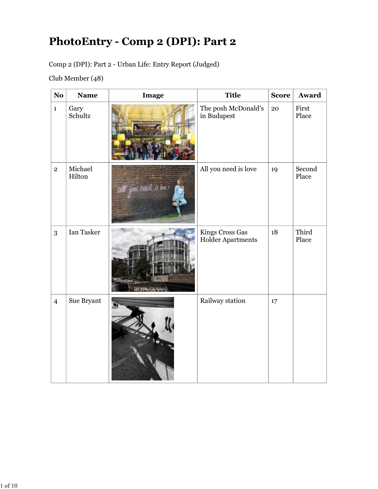## PhotoEntry - Comp 2 (DPI): Part 2

|                | Club Member (48)  | PhotoEntry - Comp 2 (DPI): Part 2<br>Comp 2 (DPI): Part 2 - Urban Life: Entry Report (Judged) |                                      |              |                 |
|----------------|-------------------|-----------------------------------------------------------------------------------------------|--------------------------------------|--------------|-----------------|
| <b>No</b>      | <b>Name</b>       | Image                                                                                         | <b>Title</b>                         | <b>Score</b> | Award           |
| $\mathbf{1}$   | Gary<br>Schultz   |                                                                                               | The posh McDonald's<br>in Budapest   | 20           | First<br>Place  |
| $\overline{2}$ | Michael<br>Hilton | ati you need is los                                                                           | All you need is love                 | 19           | Second<br>Place |
| $\sqrt{3}$     | Ian Tasker        |                                                                                               | Kings Cross Gas<br>Holder Apartments | $18\,$       | Third<br>Place  |
| $\overline{4}$ | Sue Bryant        |                                                                                               | Railway station                      | $17\,$       |                 |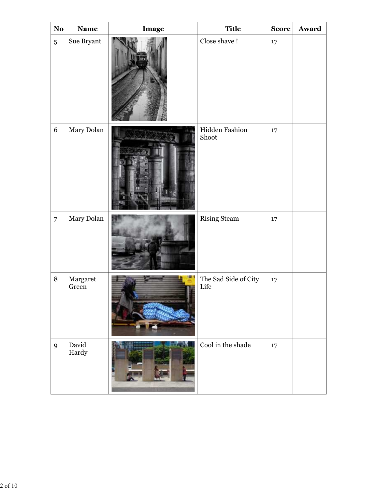| $\mathbf{N}\mathbf{o}$ | <b>Name</b>       |       | <b>Title</b>                 | $\vert$ Score $\vert$ | Award |
|------------------------|-------------------|-------|------------------------------|-----------------------|-------|
| $\overline{5}$         | Sue Bryant        | Image | Close shave !                | $17\,$                |       |
| $6\,$                  | Mary Dolan        |       | Hidden Fashion<br>Shoot      | 17                    |       |
| $\overline{7}$         | Mary Dolan        |       | <b>Rising Steam</b>          | $17\,$                |       |
| $\, 8$                 | Margaret<br>Green |       | The Sad Side of City<br>Life | 17                    |       |
| $\overline{9}$         | David<br>Hardy    |       | Cool in the shade            | $17\,$                |       |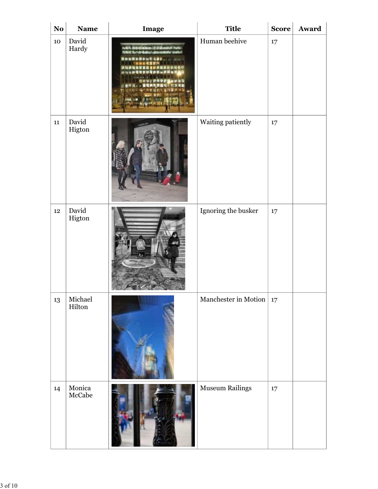| <b>No</b>        | <b>Name</b>                                                        | Image                                                                                                                                                                                                                                                                                   | <b>Title</b>           | <b>Score</b> | Award |
|------------------|--------------------------------------------------------------------|-----------------------------------------------------------------------------------------------------------------------------------------------------------------------------------------------------------------------------------------------------------------------------------------|------------------------|--------------|-------|
| 10               | David<br>Hardy                                                     | refers management of disposition makes<br><b>NINE Revertises! assumption under</b><br><b>计技术格式信息算法所预期的对称程序</b><br>1912年的政府的日语和日本的研究所<br><b>Controller &amp; Line Ave</b><br><b>数据接收的网络管理基础</b> 提供<br><b>计举样式 / &gt; 普通共同問題指示的誤准器</b><br>(机价增化现象器解除器辅助用语<br>ਦੇ ਕਿ ਹਵਾ<br><b>スピスンの出版票</b> | Human beehive          | $17\,$       |       |
| 11               | David<br>Higton                                                    |                                                                                                                                                                                                                                                                                         | Waiting patiently      | 17           |       |
| $12\phantom{.0}$ | David<br>Higton                                                    |                                                                                                                                                                                                                                                                                         | Ignoring the busker    | $17\,$       |       |
| 13               | Michael<br>Hilton                                                  |                                                                                                                                                                                                                                                                                         | Manchester in Motion   | 17           |       |
| 14               | Monica<br>McCabe<br>$\begin{bmatrix} 1 & 1 \\ 1 & 1 \end{bmatrix}$ | <b>SEPTEMBER 18</b>                                                                                                                                                                                                                                                                     | <b>Museum Railings</b> | $17\,$       |       |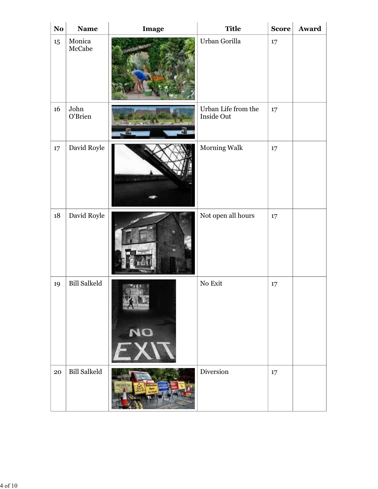| <b>Name</b>                                                             | Image                     | <b>Title</b>        |                     | Award        |
|-------------------------------------------------------------------------|---------------------------|---------------------|---------------------|--------------|
| McCabe                                                                  |                           | Urban Gorilla       | $17\,$              |              |
|                                                                         |                           | Inside Out          | $17\,$              |              |
|                                                                         |                           | <b>Morning Walk</b> | $17\,$              |              |
| David Royle                                                             |                           | Not open all hours  | $17\,$              |              |
| <b>Bill Salkeld</b>                                                     | NO                        | $\rm No$ Exit       | $17\,$              |              |
| <b>Bill Salkeld</b>                                                     |                           | Diversion           | 17                  |              |
| <b>No</b><br>$15\phantom{.0}$<br>16<br>$17\,$<br>$18\,$<br>19<br>$20\,$ | Monica<br>John<br>O'Brien | David Royle         | Urban Life from the | <b>Score</b> |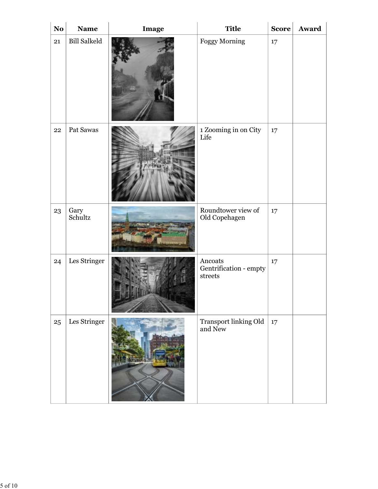| $\mathbf{N}\mathbf{o}$ | <b>Name</b>         | Image | <b>Title</b>                                                               | <b>Score</b> | Award |
|------------------------|---------------------|-------|----------------------------------------------------------------------------|--------------|-------|
| 21                     | <b>Bill Salkeld</b> |       | <b>Foggy Morning</b>                                                       | $17\,$       |       |
| $22\,$                 | Pat Sawas           |       | $\,$ 1 Zooming in on City Life                                             | $17\,$       |       |
| 23                     | Gary<br>Schultz     |       | Roundtower view of<br>Old Copehagen                                        | $17\,$       |       |
| 24                     | Les Stringer        |       | $\label{thm:ancoats} An coats$<br>Gentrification - empty<br>$\rm{streets}$ | $17\,$       |       |
| $25\,$                 | Les Stringer        |       | Transport linking Old<br>and New                                           | $17\,$       |       |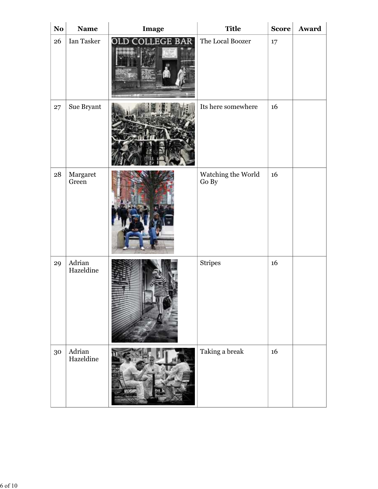| $\mathbf{N}\mathbf{o}$ | <b>Name</b>                  | Image           | <b>Title</b>                | Score  | Award |
|------------------------|------------------------------|-----------------|-----------------------------|--------|-------|
| 26                     | Ian Tasker                   | OLD COLLEGE BAR | The Local Boozer            | $17\,$ |       |
| 27                     | Sue Bryant                   |                 | Its here somewhere          | 16     |       |
| ${\bf 28}$             | Margaret<br>Green            |                 | Watching the World<br>Go By | 16     |       |
| 29                     | Adrian<br>Hazeldine          |                 | $\mbox{Stripes}$            | 16     |       |
| $30\,$                 | $\mbox{Adrian}$<br>Hazeldine |                 | Taking a break              | $16\,$ |       |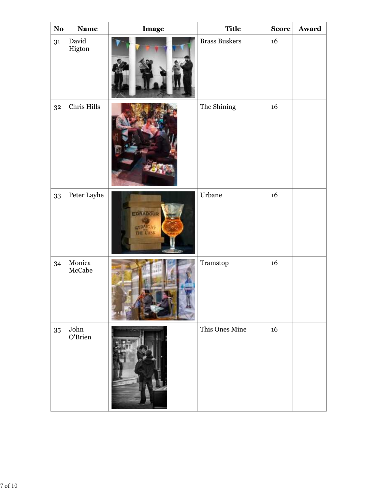| $\bf No$       | <b>Name</b>      | Image                | <b>Title</b>                                  | $\vert$ Score $\vert$ | Award |
|----------------|------------------|----------------------|-----------------------------------------------|-----------------------|-------|
| 31             | David<br>Higton  |                      | <b>Brass Buskers</b>                          | 16                    |       |
| 3 <sup>2</sup> | Chris Hills      |                      | The Shining                                   | $16\phantom{.}$       |       |
| 33             | Peter Layhe      | EDRADOUR<br>STRAIGHT | $_{\rm Urbane}$                               | $16\,$                |       |
| 34             | Monica<br>McCabe |                      | $\begin{array}{c} {\rm Transtop} \end{array}$ | 16                    |       |
| 35             | John<br>O'Brien  |                      | This Ones Mine                                | $16\,$                |       |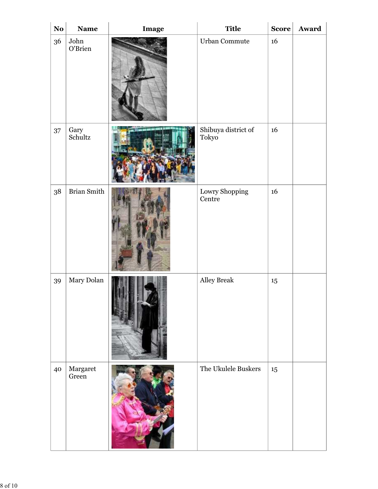| $\bf No$ | <b>Name</b>       | Image                            | <b>Title</b>                 | Score  | Award |
|----------|-------------------|----------------------------------|------------------------------|--------|-------|
| 36       | John<br>O'Brien   |                                  | Urban Commute                | 16     |       |
| 37       | Gary<br>Schultz   | the age of the<br>n mi 65 a 3 60 | Shibuya district of<br>Tokyo | 16     |       |
| $38\,$   | Brian Smith       |                                  | Lowry Shopping<br>Centre     | $16\,$ |       |
| 39       | Mary Dolan        |                                  | Alley Break                  | 15     |       |
| 40       | Margaret<br>Green | <b>SOUTH A</b>                   | The Ukulele Buskers          | $15\,$ |       |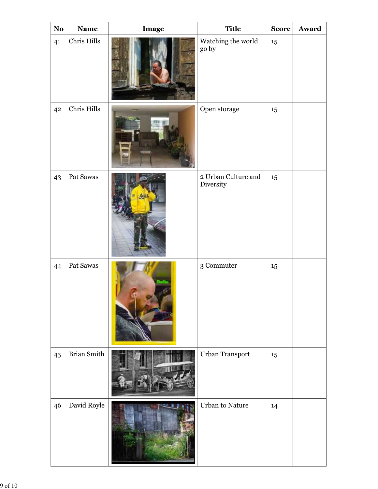| $\mathbf{N}\mathbf{o}$ | <b>Name</b>        | Image | <b>Title</b>                              | $\vert$ Score $\vert$ | Award |
|------------------------|--------------------|-------|-------------------------------------------|-----------------------|-------|
| 41                     | Chris Hills        |       | Watching the world go by                  | 15                    |       |
| 42                     | Chris Hills        |       | Open storage                              | 15                    |       |
| 43                     | Pat Sawas          |       | $\sqrt{2}$ Urban Culture and<br>Diversity | 15                    |       |
| 44                     | Pat Sawas          |       | $\sqrt{3}$ Commuter                       | 15                    |       |
| $45\,$                 | <b>Brian Smith</b> |       | Urban Transport                           | $15\,$                |       |
| 46                     | David Royle        |       | <b>Urban to Nature</b>                    | 14                    |       |